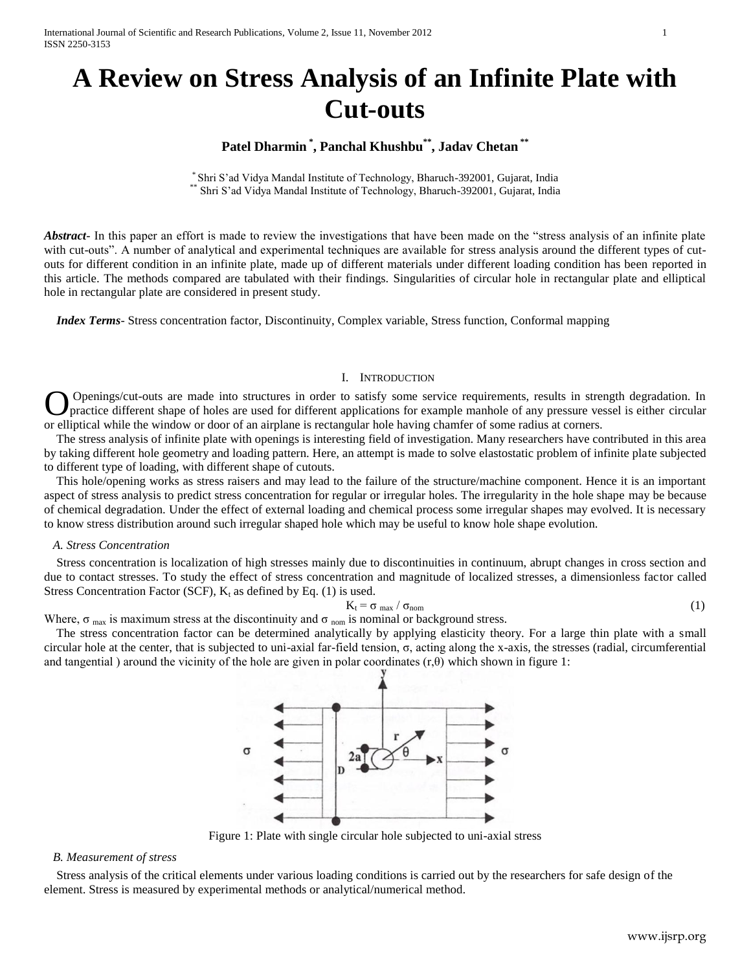# **A Review on Stress Analysis of an Infinite Plate with Cut-outs**

# **Patel Dharmin \* , Panchal Khushbu\*\* , Jadav Chetan \*\***

\* Shri S'ad Vidya Mandal Institute of Technology, Bharuch-392001, Gujarat, India Shri S'ad Vidya Mandal Institute of Technology, Bharuch-392001, Gujarat, India

*Abstract*- In this paper an effort is made to review the investigations that have been made on the "stress analysis of an infinite plate with cut-outs". A number of analytical and experimental techniques are available for stress analysis around the different types of cutouts for different condition in an infinite plate, made up of different materials under different loading condition has been reported in this article. The methods compared are tabulated with their findings. Singularities of circular hole in rectangular plate and elliptical hole in rectangular plate are considered in present study.

 *Index Terms*- Stress concentration factor, Discontinuity, Complex variable, Stress function, Conformal mapping

## I. INTRODUCTION

Openings/cut-outs are made into structures in order to satisfy some service requirements, results in strength degradation. In practice different shape of holes are used for different applications for example manhole of any pressure vessel is either circular **O** Openings/cut-outs are made into structures in order to satisfy some service requirements, results in stre practice different shape of holes are used for different applications for example manhole of any pressure ve or

 The stress analysis of infinite plate with openings is interesting field of investigation. Many researchers have contributed in this area by taking different hole geometry and loading pattern. Here, an attempt is made to solve elastostatic problem of infinite plate subjected to different type of loading, with different shape of cutouts.

 This hole/opening works as stress raisers and may lead to the failure of the structure/machine component. Hence it is an important aspect of stress analysis to predict stress concentration for regular or irregular holes. The irregularity in the hole shape may be because of chemical degradation. Under the effect of external loading and chemical process some irregular shapes may evolved. It is necessary to know stress distribution around such irregular shaped hole which may be useful to know hole shape evolution.

#### *A. Stress Concentration*

 Stress concentration is localization of high stresses mainly due to discontinuities in continuum, abrupt changes in cross section and due to contact stresses. To study the effect of stress concentration and magnitude of localized stresses, a dimensionless factor called Stress Concentration Factor (SCF),  $K_t$  as defined by Eq. (1) is used.

$$
K_t = \sigma_{\text{max}} / \sigma_{\text{nom}}
$$
 (1)

Where,  $\sigma_{\text{max}}$  is maximum stress at the discontinuity and  $\sigma_{\text{nom}}$  is nominal or background stress.

 The stress concentration factor can be determined analytically by applying elasticity theory. For a large thin plate with a small circular hole at the center, that is subjected to uni-axial far-field tension,  $\sigma$ , acting along the x-axis, the stresses (radial, circumferential and tangential ) around the vicinity of the hole are given in polar coordinates  $(r,\theta)$  which shown in figure 1:



Figure 1: Plate with single circular hole subjected to uni-axial stress

## *B. Measurement of stress*

 Stress analysis of the critical elements under various loading conditions is carried out by the researchers for safe design of the element. Stress is measured by experimental methods or analytical/numerical method.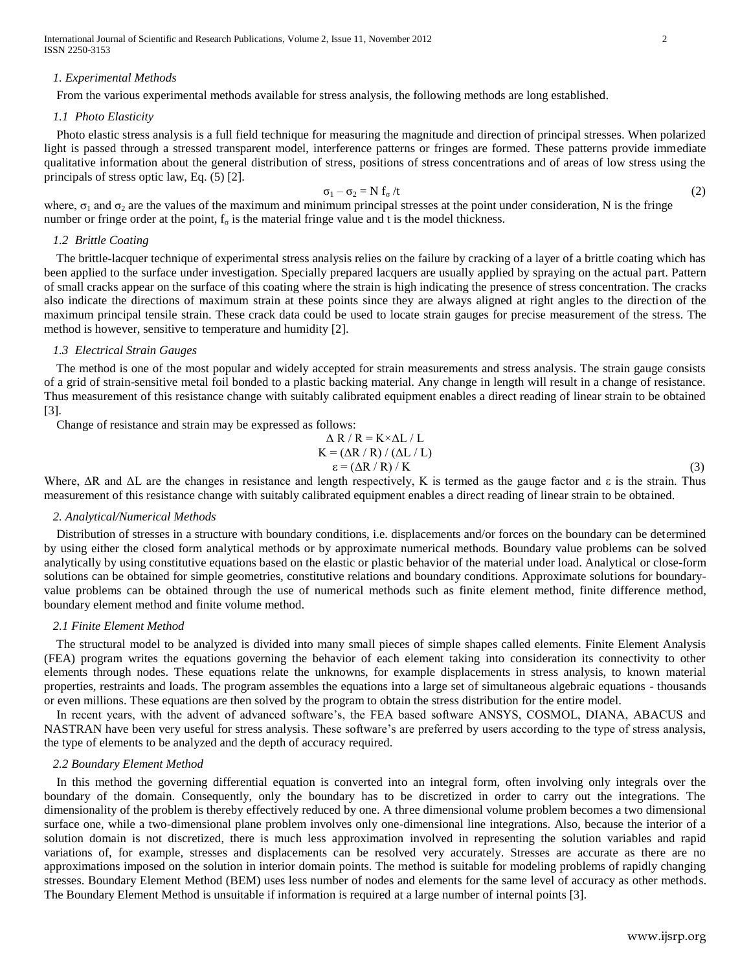International Journal of Scientific and Research Publications, Volume 2, Issue 11, November 2012 2 ISSN 2250-3153

#### *1. Experimental Methods*

From the various experimental methods available for stress analysis, the following methods are long established.

#### *1.1 Photo Elasticity*

 Photo elastic stress analysis is a full field technique for measuring the magnitude and direction of principal stresses. When polarized light is passed through a stressed transparent model, interference patterns or fringes are formed. These patterns provide immediate qualitative information about the general distribution of stress, positions of stress concentrations and of areas of low stress using the principals of stress optic law, Eq. (5) [2].

$$
\sigma_1 - \sigma_2 = N f_{\sigma} / t \tag{2}
$$

where,  $\sigma_1$  and  $\sigma_2$  are the values of the maximum and minimum principal stresses at the point under consideration, N is the fringe number or fringe order at the point,  $f_{\sigma}$  is the material fringe value and t is the model thickness.

## *1.2 Brittle Coating*

 The brittle-lacquer technique of experimental stress analysis relies on the failure by cracking of a layer of a brittle coating which has been applied to the surface under investigation. Specially prepared lacquers are usually applied by spraying on the actual part. Pattern of small cracks appear on the surface of this coating where the strain is high indicating the presence of stress concentration. The cracks also indicate the directions of maximum strain at these points since they are always aligned at right angles to the direction of the maximum principal tensile strain. These crack data could be used to locate strain gauges for precise measurement of the stress. The method is however, sensitive to temperature and humidity [2].

#### *1.3 Electrical Strain Gauges*

 The method is one of the most popular and widely accepted for strain measurements and stress analysis. The strain gauge consists of a grid of strain-sensitive metal foil bonded to a plastic backing material. Any change in length will result in a change of resistance. Thus measurement of this resistance change with suitably calibrated equipment enables a direct reading of linear strain to be obtained [3].

Change of resistance and strain may be expressed as follows:

$$
\Delta R / R = K \times \Delta L / L
$$
  
\n
$$
K = (\Delta R / R) / (\Delta L / L)
$$
  
\n
$$
\varepsilon = (\Delta R / R) / K
$$
\n(3)

Where,  $\Delta R$  and  $\Delta L$  are the changes in resistance and length respectively, K is termed as the gauge factor and  $\varepsilon$  is the strain. Thus measurement of this resistance change with suitably calibrated equipment enables a direct reading of linear strain to be obtained.

#### *2. Analytical/Numerical Methods*

 Distribution of stresses in a structure with boundary conditions, i.e. displacements and/or forces on the boundary can be determined by using either the closed form analytical methods or by approximate numerical methods. Boundary value problems can be solved analytically by using constitutive equations based on the elastic or plastic behavior of the material under load. Analytical or close-form solutions can be obtained for simple geometries, constitutive relations and boundary conditions. Approximate solutions for boundaryvalue problems can be obtained through the use of numerical methods such as finite element method, finite difference method, boundary element method and finite volume method.

## *2.1 Finite Element Method*

 The structural model to be analyzed is divided into many small pieces of simple shapes called elements. Finite Element Analysis (FEA) program writes the equations governing the behavior of each element taking into consideration its connectivity to other elements through nodes. These equations relate the unknowns, for example displacements in stress analysis, to known material properties, restraints and loads. The program assembles the equations into a large set of simultaneous algebraic equations - thousands or even millions. These equations are then solved by the program to obtain the stress distribution for the entire model.

 In recent years, with the advent of advanced software's, the FEA based software ANSYS, COSMOL, DIANA, ABACUS and NASTRAN have been very useful for stress analysis. These software's are preferred by users according to the type of stress analysis, the type of elements to be analyzed and the depth of accuracy required.

#### *2.2 Boundary Element Method*

 In this method the governing differential equation is converted into an integral form, often involving only integrals over the boundary of the domain. Consequently, only the boundary has to be discretized in order to carry out the integrations. The dimensionality of the problem is thereby effectively reduced by one. A three dimensional volume problem becomes a two dimensional surface one, while a two-dimensional plane problem involves only one-dimensional line integrations. Also, because the interior of a solution domain is not discretized, there is much less approximation involved in representing the solution variables and rapid variations of, for example, stresses and displacements can be resolved very accurately. Stresses are accurate as there are no approximations imposed on the solution in interior domain points. The method is suitable for modeling problems of rapidly changing stresses. Boundary Element Method (BEM) uses less number of nodes and elements for the same level of accuracy as other methods. The Boundary Element Method is unsuitable if information is required at a large number of internal points [3].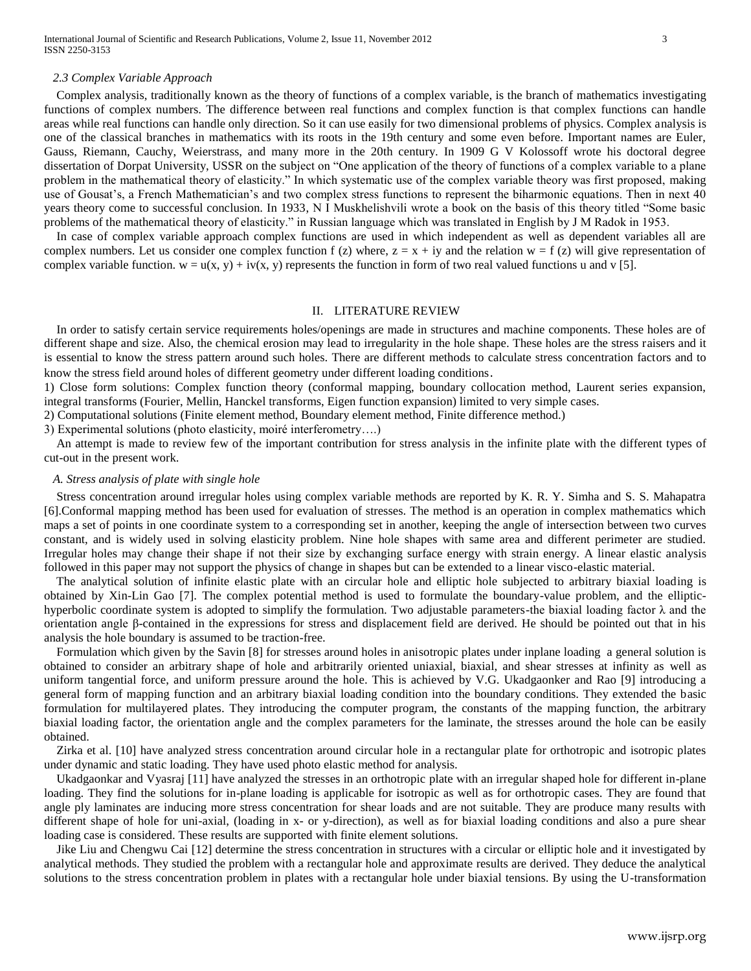#### *2.3 Complex Variable Approach*

 Complex analysis, traditionally known as the theory of functions of a complex variable, is the branch of mathematics investigating functions of complex numbers. The difference between real functions and complex function is that complex functions can handle areas while real functions can handle only direction. So it can use easily for two dimensional problems of physics. Complex analysis is one of the classical branches in mathematics with its roots in the 19th century and some even before. Important names are Euler, Gauss, Riemann, Cauchy, Weierstrass, and many more in the 20th century. In 1909 G V Kolossoff wrote his doctoral degree dissertation of Dorpat University, USSR on the subject on "One application of the theory of functions of a complex variable to a plane problem in the mathematical theory of elasticity." In which systematic use of the complex variable theory was first proposed, making use of Gousat's, a French Mathematician's and two complex stress functions to represent the biharmonic equations. Then in next 40 years theory come to successful conclusion. In 1933, N I Muskhelishvili wrote a book on the basis of this theory titled "Some basic problems of the mathematical theory of elasticity." in Russian language which was translated in English by J M Radok in 1953.

 In case of complex variable approach complex functions are used in which independent as well as dependent variables all are complex numbers. Let us consider one complex function f (z) where,  $z = x + iy$  and the relation  $w = f(z)$  will give representation of complex variable function.  $w = u(x, y) + iv(x, y)$  represents the function in form of two real valued functions u and v [5].

#### II. LITERATURE REVIEW

 In order to satisfy certain service requirements holes/openings are made in structures and machine components. These holes are of different shape and size. Also, the chemical erosion may lead to irregularity in the hole shape. These holes are the stress raisers and it is essential to know the stress pattern around such holes. There are different methods to calculate stress concentration factors and to know the stress field around holes of different geometry under different loading conditions.

1) Close form solutions: Complex function theory (conformal mapping, boundary collocation method, Laurent series expansion, integral transforms (Fourier, Mellin, Hanckel transforms, Eigen function expansion) limited to very simple cases.

2) Computational solutions (Finite element method, Boundary element method, Finite difference method.)

3) Experimental solutions (photo elasticity, moiré interferometry….)

 An attempt is made to review few of the important contribution for stress analysis in the infinite plate with the different types of cut-out in the present work.

## *A. Stress analysis of plate with single hole*

 Stress concentration around irregular holes using complex variable methods are reported by K. R. Y. Simha and S. S. Mahapatra [6].Conformal mapping method has been used for evaluation of stresses. The method is an operation in complex mathematics which maps a set of points in one coordinate system to a corresponding set in another, keeping the angle of intersection between two curves constant, and is widely used in solving elasticity problem. Nine hole shapes with same area and different perimeter are studied. Irregular holes may change their shape if not their size by exchanging surface energy with strain energy. A linear elastic analysis followed in this paper may not support the physics of change in shapes but can be extended to a linear visco-elastic material.

 The analytical solution of infinite elastic plate with an circular hole and elliptic hole subjected to arbitrary biaxial loading is obtained by Xin-Lin Gao [7]. The complex potential method is used to formulate the boundary-value problem, and the elliptichyperbolic coordinate system is adopted to simplify the formulation. Two adjustable parameters-the biaxial loading factor λ and the orientation angle β-contained in the expressions for stress and displacement field are derived. He should be pointed out that in his analysis the hole boundary is assumed to be traction-free.

 Formulation which given by the Savin [8] for stresses around holes in anisotropic plates under inplane loading a general solution is obtained to consider an arbitrary shape of hole and arbitrarily oriented uniaxial, biaxial, and shear stresses at infinity as well as uniform tangential force, and uniform pressure around the hole. This is achieved by V.G. Ukadgaonker and Rao [9] introducing a general form of mapping function and an arbitrary biaxial loading condition into the boundary conditions. They extended the basic formulation for multilayered plates. They introducing the computer program, the constants of the mapping function, the arbitrary biaxial loading factor, the orientation angle and the complex parameters for the laminate, the stresses around the hole can be easily obtained.

 Zirka et al. [10] have analyzed stress concentration around circular hole in a rectangular plate for orthotropic and isotropic plates under dynamic and static loading. They have used photo elastic method for analysis.

 Ukadgaonkar and Vyasraj [11] have analyzed the stresses in an orthotropic plate with an irregular shaped hole for different in-plane loading. They find the solutions for in-plane loading is applicable for isotropic as well as for orthotropic cases. They are found that angle ply laminates are inducing more stress concentration for shear loads and are not suitable. They are produce many results with different shape of hole for uni-axial, (loading in x- or y-direction), as well as for biaxial loading conditions and also a pure shear loading case is considered. These results are supported with finite element solutions.

 Jike Liu and Chengwu Cai [12] determine the stress concentration in structures with a circular or elliptic hole and it investigated by analytical methods. They studied the problem with a rectangular hole and approximate results are derived. They deduce the analytical solutions to the stress concentration problem in plates with a rectangular hole under biaxial tensions. By using the U-transformation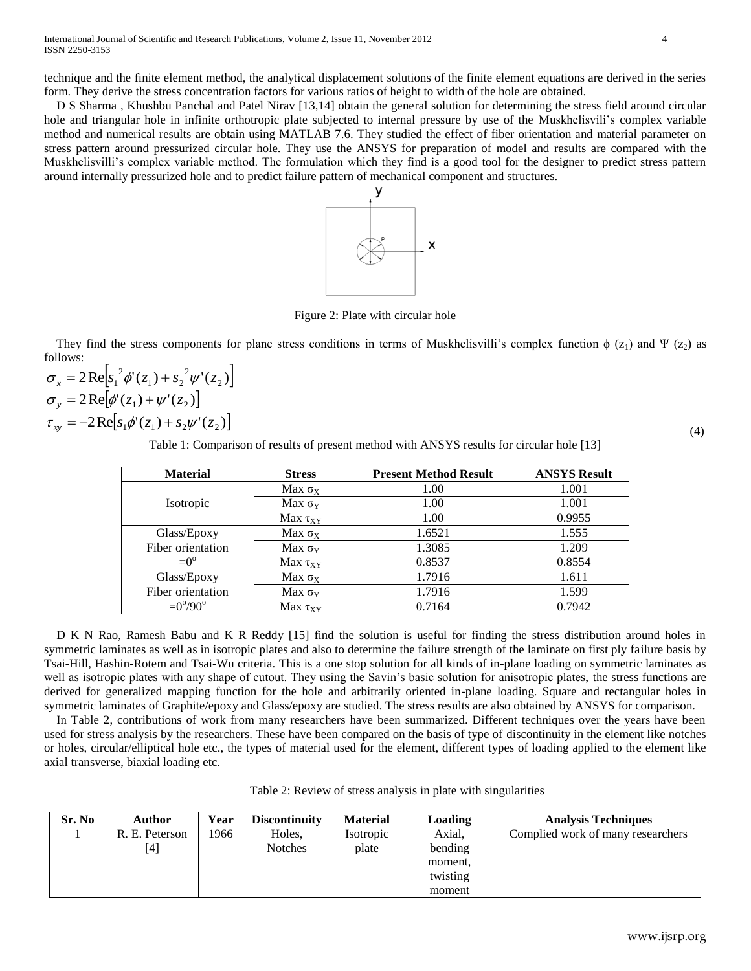technique and the finite element method, the analytical displacement solutions of the finite element equations are derived in the series form. They derive the stress concentration factors for various ratios of height to width of the hole are obtained.

 D S Sharma , Khushbu Panchal and Patel Nirav [13,14] obtain the general solution for determining the stress field around circular hole and triangular hole in infinite orthotropic plate subjected to internal pressure by use of the Muskhelisvili's complex variable method and numerical results are obtain using MATLAB 7.6. They studied the effect of fiber orientation and material parameter on stress pattern around pressurized circular hole. They use the ANSYS for preparation of model and results are compared with the Muskhelisvilli's complex variable method. The formulation which they find is a good tool for the designer to predict stress pattern around internally pressurized hole and to predict failure pattern of mechanical component and structures.



Figure 2: Plate with circular hole

They find the stress components for plane stress conditions in terms of Muskhelisvilli's complex function  $\phi$  (z<sub>1</sub>) and Ψ (z<sub>2</sub>) as follows:

$$
\sigma_x = 2\text{Re}\Big[s_1^2 \phi'(z_1) + s_2^2 \psi'(z_2)\Big] \n\sigma_y = 2\text{Re}\Big[\phi'(z_1) + \psi'(z_2)\Big] \n\tau_{xy} = -2\text{Re}\Big[s_1 \phi'(z_1) + s_2 \psi'(z_2)\Big]
$$

Table 1: Comparison of results of present method with ANSYS results for circular hole [13]

| <b>Material</b>          | <b>Stress</b>   | <b>Present Method Result</b> | <b>ANSYS Result</b> |
|--------------------------|-----------------|------------------------------|---------------------|
|                          | Max $\sigma_X$  | 1.00                         | 1.001               |
| Isotropic                | Мах $\sigma_Y$  | 1.00                         | 1.001               |
|                          | Max $\tau_{XY}$ | 1.00                         | 0.9955              |
| Glass/Epoxy              | Max $\sigma_X$  | 1.6521                       | 1.555               |
| Fiber orientation        | Max $\sigma_Y$  | 1.3085                       | 1.209               |
| $=0^{\circ}$             | Max $\tau_{XY}$ | 0.8537                       | 0.8554              |
| Glass/Epoxy              | Max $\sigma_X$  | 1.7916                       | 1.611               |
| Fiber orientation        | Max $\sigma_Y$  | 1.7916                       | 1.599               |
| $= 0^{\circ}/90^{\circ}$ | Max $\tau_{XY}$ | 0.7164                       | 0.7942              |

 D K N Rao, Ramesh Babu and K R Reddy [15] find the solution is useful for finding the stress distribution around holes in symmetric laminates as well as in isotropic plates and also to determine the failure strength of the laminate on first ply failure basis by Tsai-Hill, Hashin-Rotem and Tsai-Wu criteria. This is a one stop solution for all kinds of in-plane loading on symmetric laminates as well as isotropic plates with any shape of cutout. They using the Savin's basic solution for anisotropic plates, the stress functions are derived for generalized mapping function for the hole and arbitrarily oriented in-plane loading. Square and rectangular holes in symmetric laminates of Graphite/epoxy and Glass/epoxy are studied. The stress results are also obtained by ANSYS for comparison.

 In Table 2, contributions of work from many researchers have been summarized. Different techniques over the years have been used for stress analysis by the researchers. These have been compared on the basis of type of discontinuity in the element like notches or holes, circular/elliptical hole etc., the types of material used for the element, different types of loading applied to the element like axial transverse, biaxial loading etc.

Table 2: Review of stress analysis in plate with singularities

| Sr. No | <b>Author</b>  | Year | <b>Discontinuity</b> | <b>Material</b> | Loading  | <b>Analysis Techniques</b>        |
|--------|----------------|------|----------------------|-----------------|----------|-----------------------------------|
|        | R. E. Peterson | 1966 | Holes,               | Isotropic       | Axial,   | Complied work of many researchers |
|        | [4]            |      | <b>Notches</b>       | plate           | bending  |                                   |
|        |                |      |                      |                 | moment,  |                                   |
|        |                |      |                      |                 | twisting |                                   |
|        |                |      |                      |                 | moment   |                                   |

(4)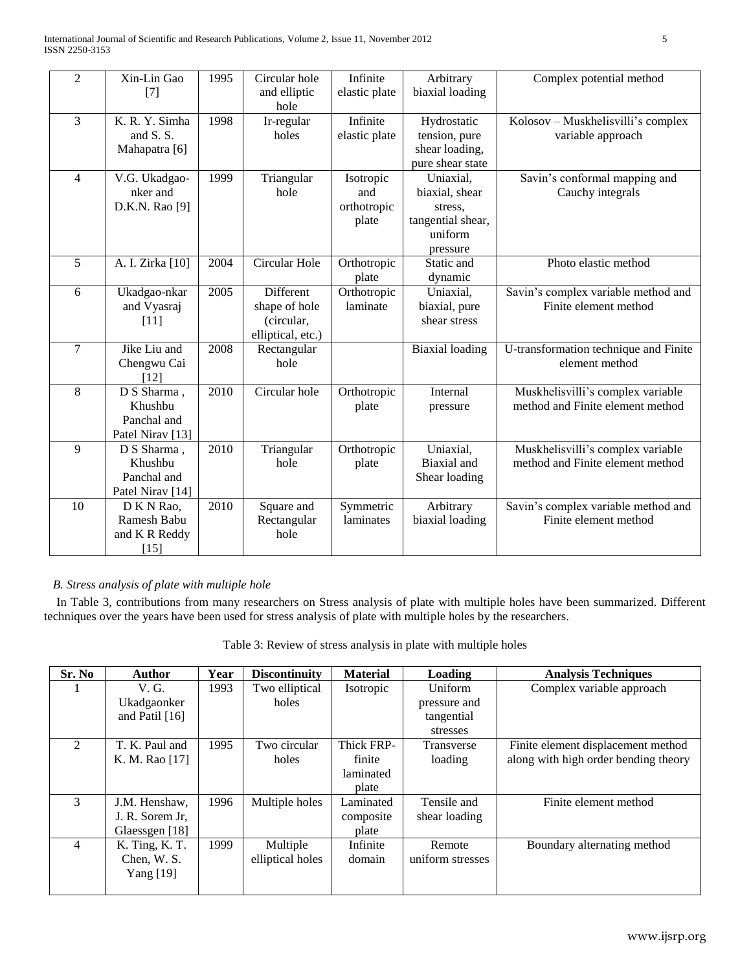| $\overline{2}$ | Xin-Lin Gao<br>$[7]$                                                 | 1995 | Circular hole<br>and elliptic<br>hole                         | Infinite<br>elastic plate                | Arbitrary<br>biaxial loading                                                       | Complex potential method                                              |
|----------------|----------------------------------------------------------------------|------|---------------------------------------------------------------|------------------------------------------|------------------------------------------------------------------------------------|-----------------------------------------------------------------------|
| $\overline{3}$ | K. R. Y. Simha<br>and $S.S.$<br>Mahapatra [6]                        | 1998 | Ir-regular<br>holes                                           | Infinite<br>elastic plate                | Hydrostatic<br>tension, pure<br>shear loading,<br>pure shear state                 | Kolosov - Muskhelisvilli's complex<br>variable approach               |
| $\overline{4}$ | V.G. Ukadgao-<br>nker and<br>D.K.N. Rao [9]                          | 1999 | Triangular<br>hole                                            | Isotropic<br>and<br>orthotropic<br>plate | Uniaxial,<br>biaxial, shear<br>stress,<br>tangential shear,<br>uniform<br>pressure | Savin's conformal mapping and<br>Cauchy integrals                     |
| 5              | A. I. Zirka [10]                                                     | 2004 | Circular Hole                                                 | Orthotropic<br>plate                     | Static and<br>dynamic                                                              | Photo elastic method                                                  |
| 6              | Ukadgao-nkar<br>and Vyasraj<br>$[11]$                                | 2005 | Different<br>shape of hole<br>(circular,<br>elliptical, etc.) | Orthotropic<br>laminate                  | Uniaxial,<br>biaxial, pure<br>shear stress                                         | Savin's complex variable method and<br>Finite element method          |
| $\overline{7}$ | Jike Liu and<br>Chengwu Cai<br>[12]                                  | 2008 | Rectangular<br>hole                                           |                                          | <b>Biaxial</b> loading                                                             | U-transformation technique and Finite<br>element method               |
| 8              | D S Sharma,<br>Khushbu<br>Panchal and<br>Patel Nirav <sup>[13]</sup> | 2010 | Circular hole                                                 | Orthotropic<br>plate                     | Internal<br>pressure                                                               | Muskhelisvilli's complex variable<br>method and Finite element method |
| 9              | D S Sharma,<br>Khushbu<br>Panchal and<br>Patel Nirav [14]            | 2010 | Triangular<br>hole                                            | Orthotropic<br>plate                     | Uniaxial,<br>Biaxial and<br>Shear loading                                          | Muskhelisvilli's complex variable<br>method and Finite element method |
| 10             | D K N Rao,<br>Ramesh Babu<br>and K R Reddy<br>$[15]$                 | 2010 | Square and<br>Rectangular<br>hole                             | Symmetric<br>laminates                   | Arbitrary<br>biaxial loading                                                       | Savin's complex variable method and<br>Finite element method          |

## *B. Stress analysis of plate with multiple hole*

 In Table 3, contributions from many researchers on Stress analysis of plate with multiple holes have been summarized. Different techniques over the years have been used for stress analysis of plate with multiple holes by the researchers.

Table 3: Review of stress analysis in plate with multiple holes

| Sr. No         | <b>Author</b>    | Year | <b>Discontinuity</b> | <b>Material</b> | Loading           | <b>Analysis Techniques</b>           |
|----------------|------------------|------|----------------------|-----------------|-------------------|--------------------------------------|
|                | V. G.            | 1993 | Two elliptical       | Isotropic       | Uniform           | Complex variable approach            |
|                | Ukadgaonker      |      | holes                |                 | pressure and      |                                      |
|                | and Patil $[16]$ |      |                      |                 | tangential        |                                      |
|                |                  |      |                      |                 | stresses          |                                      |
| $\mathfrak{D}$ | T. K. Paul and   | 1995 | Two circular         | Thick FRP-      | <b>Transverse</b> | Finite element displacement method   |
|                | K. M. Rao [17]   |      | holes                | finite          | loading           | along with high order bending theory |
|                |                  |      |                      | laminated       |                   |                                      |
|                |                  |      |                      | plate           |                   |                                      |
| $\mathcal{E}$  | J.M. Henshaw,    | 1996 | Multiple holes       | Laminated       | Tensile and       | Finite element method                |
|                | J. R. Sorem Jr,  |      |                      | composite       | shear loading     |                                      |
|                | Glaessgen [18]   |      |                      | plate           |                   |                                      |
| $\overline{4}$ | K. Ting, K. T.   | 1999 | Multiple             | Infinite        | Remote            | Boundary alternating method          |
|                | Chen, W. S.      |      | elliptical holes     | domain          | uniform stresses  |                                      |
|                | Yang $[19]$      |      |                      |                 |                   |                                      |
|                |                  |      |                      |                 |                   |                                      |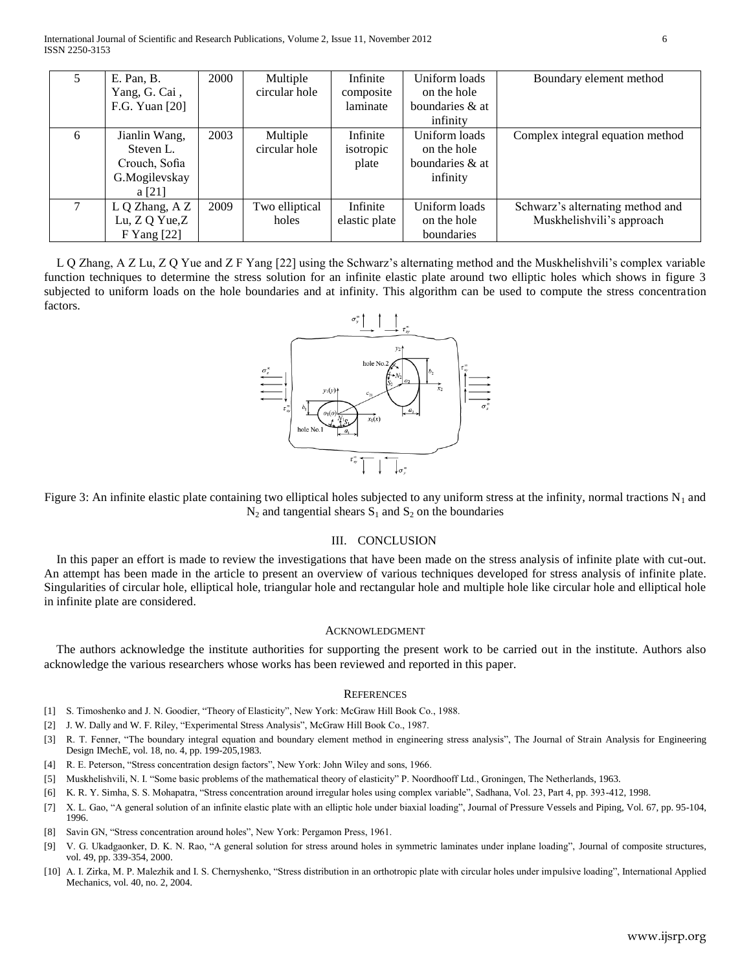|   | E. Pan, B.<br>Yang, G. Cai,<br>F.G. Yuan [20]                          | 2000 | Multiple<br>circular hole | Infinite<br>composite<br>laminate | Uniform loads<br>on the hole<br>boundaries & at             | Boundary element method                                       |
|---|------------------------------------------------------------------------|------|---------------------------|-----------------------------------|-------------------------------------------------------------|---------------------------------------------------------------|
|   |                                                                        |      |                           |                                   | infinity                                                    |                                                               |
| 6 | Jianlin Wang,<br>Steven L.<br>Crouch, Sofia<br>G.Mogilevskay<br>a [21] | 2003 | Multiple<br>circular hole | Infinite<br>isotropic<br>plate    | Uniform loads<br>on the hole<br>boundaries & at<br>infinity | Complex integral equation method                              |
|   | L Q Zhang, A Z<br>Lu, Z Q Yue, Z<br>F Yang [22]                        | 2009 | Two elliptical<br>holes   | Infinite<br>elastic plate         | Uniform loads<br>on the hole<br>boundaries                  | Schwarz's alternating method and<br>Muskhelishvili's approach |

 L Q Zhang, A Z Lu, Z Q Yue and Z F Yang [22] using the Schwarz's alternating method and the Muskhelishvili's complex variable function techniques to determine the stress solution for an infinite elastic plate around two elliptic holes which shows in figure 3 subjected to uniform loads on the hole boundaries and at infinity. This algorithm can be used to compute the stress concentration factors.



Figure 3: An infinite elastic plate containing two elliptical holes subjected to any uniform stress at the infinity, normal tractions  $N_1$  and  $N_2$  and tangential shears  $S_1$  and  $S_2$  on the boundaries

## III. CONCLUSION

 In this paper an effort is made to review the investigations that have been made on the stress analysis of infinite plate with cut-out. An attempt has been made in the article to present an overview of various techniques developed for stress analysis of infinite plate. Singularities of circular hole, elliptical hole, triangular hole and rectangular hole and multiple hole like circular hole and elliptical hole in infinite plate are considered.

#### ACKNOWLEDGMENT

 The authors acknowledge the institute authorities for supporting the present work to be carried out in the institute. Authors also acknowledge the various researchers whose works has been reviewed and reported in this paper.

#### **REFERENCES**

- [1] S. Timoshenko and J. N. Goodier, "Theory of Elasticity", New York: McGraw Hill Book Co., 1988.
- [2] J. W. Dally and W. F. Riley, "Experimental Stress Analysis", McGraw Hill Book Co., 1987.
- [3] R. T. Fenner, "The boundary integral equation and boundary element method in engineering stress analysis", The Journal of Strain Analysis for Engineering Design IMechE, vol. 18, no. 4, pp. 199-205,1983.
- [4] R. E. Peterson, "Stress concentration design factors", New York: John Wiley and sons, 1966.
- [5] Muskhelishvili, N. I. "Some basic problems of the mathematical theory of elasticity" P. Noordhooff Ltd., Groningen, The Netherlands, 1963.
- [6] K. R. Y. Simha, S. S. Mohapatra, "Stress concentration around irregular holes using complex variable", Sadhana, Vol. 23, Part 4, pp. 393-412, 1998.
- [7] X. L. Gao, "A general solution of an infinite elastic plate with an elliptic hole under biaxial loading", Journal of Pressure Vessels and Piping, Vol. 67, pp. 95-104, 1996.
- [8] Savin GN, "Stress concentration around holes", New York: Pergamon Press, 1961.
- [9] V. G. Ukadgaonker, D. K. N. Rao, "A general solution for stress around holes in symmetric laminates under inplane loading", Journal of composite structures, vol. 49, pp. 339-354, 2000.
- [10] A. I. Zirka, M. P. Malezhik and I. S. Chernyshenko, "Stress distribution in an orthotropic plate with circular holes under impulsive loading", International Applied Mechanics, vol. 40, no. 2, 2004.